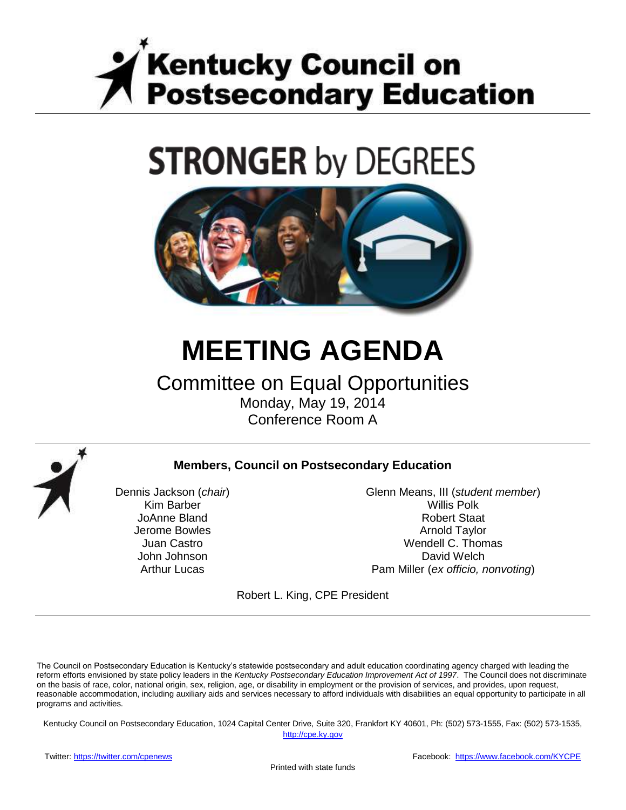

# **STRONGER by DEGREES**



# **MEETING AGENDA**

# Committee on Equal Opportunities Monday, May 19, 2014

Conference Room A



#### **Members, Council on Postsecondary Education**

Dennis Jackson (*chair*) Kim Barber JoAnne Bland Jerome Bowles Juan Castro John Johnson Arthur Lucas

Glenn Means, III (*student member*) Willis Polk Robert Staat Arnold Taylor Wendell C. Thomas David Welch Pam Miller (*ex officio, nonvoting*)

Robert L. King, CPE President

The Council on Postsecondary Education is Kentucky's statewide postsecondary and adult education coordinating agency charged with leading the reform efforts envisioned by state policy leaders in the *Kentucky Postsecondary Education Improvement Act of 1997*. The Council does not discriminate on the basis of race, color, national origin, sex, religion, age, or disability in employment or the provision of services, and provides, upon request, reasonable accommodation, including auxiliary aids and services necessary to afford individuals with disabilities an equal opportunity to participate in all programs and activities.

Kentucky Council on Postsecondary Education, 1024 Capital Center Drive, Suite 320, Frankfort KY 40601, Ph: (502) 573-1555, Fax: (502) 573-1535,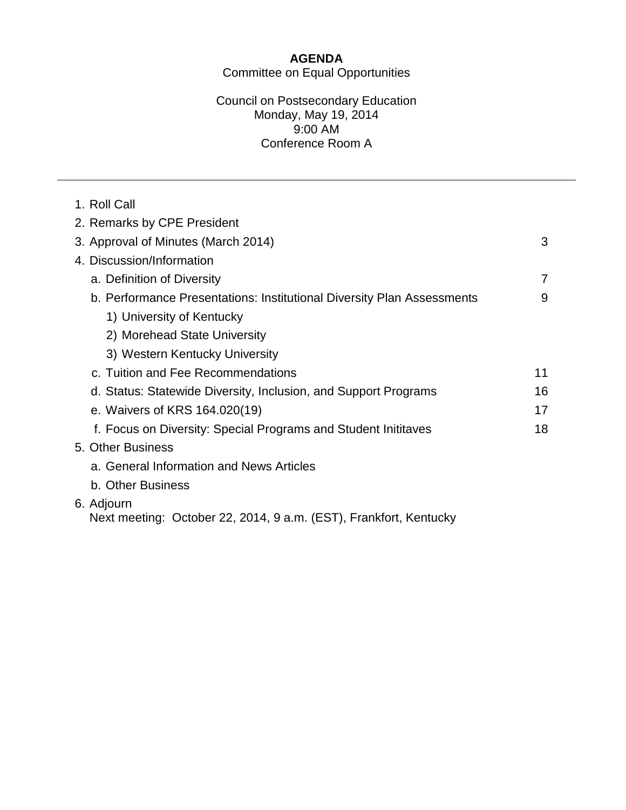#### **AGENDA** Committee on Equal Opportunities

#### Council on Postsecondary Education Monday, May 19, 2014 9:00 AM Conference Room A

| 1. Roll Call                                                                    |    |
|---------------------------------------------------------------------------------|----|
| 2. Remarks by CPE President                                                     |    |
| 3. Approval of Minutes (March 2014)                                             | 3  |
| 4. Discussion/Information                                                       |    |
| a. Definition of Diversity                                                      | 7  |
| b. Performance Presentations: Institutional Diversity Plan Assessments          | 9  |
| 1) University of Kentucky                                                       |    |
| 2) Morehead State University                                                    |    |
| 3) Western Kentucky University                                                  |    |
| c. Tuition and Fee Recommendations                                              | 11 |
| d. Status: Statewide Diversity, Inclusion, and Support Programs                 | 16 |
| e. Waivers of KRS 164.020(19)                                                   | 17 |
| f. Focus on Diversity: Special Programs and Student Inititaves                  | 18 |
| 5. Other Business                                                               |    |
| a. General Information and News Articles                                        |    |
| b. Other Business                                                               |    |
| 6. Adjourn<br>Next meeting: October 22, 2014, 9 a.m. (EST), Frankfort, Kentucky |    |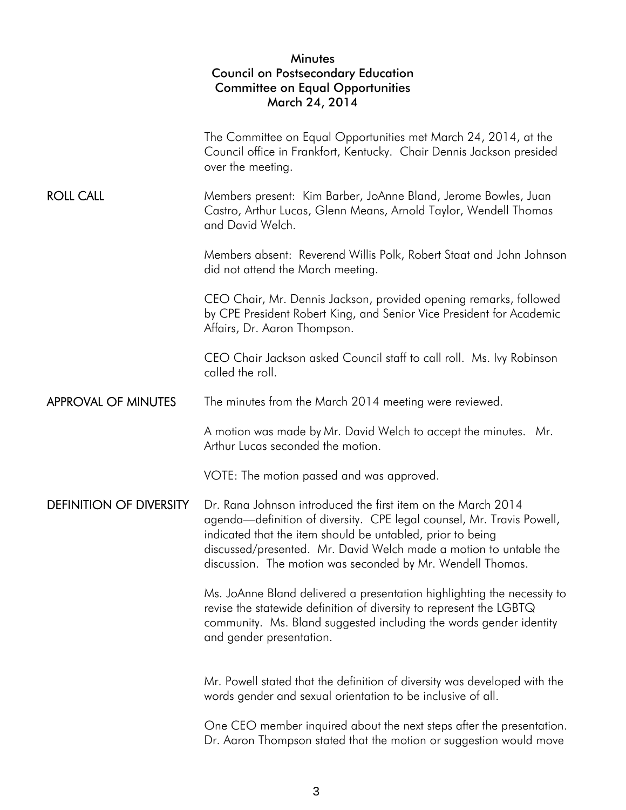#### Minutes Council on Postsecondary Education Committee on Equal Opportunities March 24, 2014

|                                | The Committee on Equal Opportunities met March 24, 2014, at the<br>Council office in Frankfort, Kentucky. Chair Dennis Jackson presided<br>over the meeting.                                                                                                                                                                           |  |  |  |
|--------------------------------|----------------------------------------------------------------------------------------------------------------------------------------------------------------------------------------------------------------------------------------------------------------------------------------------------------------------------------------|--|--|--|
| <b>ROLL CALL</b>               | Members present: Kim Barber, JoAnne Bland, Jerome Bowles, Juan<br>Castro, Arthur Lucas, Glenn Means, Arnold Taylor, Wendell Thomas<br>and David Welch.                                                                                                                                                                                 |  |  |  |
|                                | Members absent: Reverend Willis Polk, Robert Staat and John Johnson<br>did not attend the March meeting.                                                                                                                                                                                                                               |  |  |  |
|                                | CEO Chair, Mr. Dennis Jackson, provided opening remarks, followed<br>by CPE President Robert King, and Senior Vice President for Academic<br>Affairs, Dr. Aaron Thompson.                                                                                                                                                              |  |  |  |
|                                | CEO Chair Jackson asked Council staff to call roll. Ms. Ivy Robinson<br>called the roll.                                                                                                                                                                                                                                               |  |  |  |
| <b>APPROVAL OF MINUTES</b>     | The minutes from the March 2014 meeting were reviewed.                                                                                                                                                                                                                                                                                 |  |  |  |
|                                | A motion was made by Mr. David Welch to accept the minutes. Mr.<br>Arthur Lucas seconded the motion.                                                                                                                                                                                                                                   |  |  |  |
|                                | VOTE: The motion passed and was approved.                                                                                                                                                                                                                                                                                              |  |  |  |
| <b>DEFINITION OF DIVERSITY</b> | Dr. Rana Johnson introduced the first item on the March 2014<br>agenda—definition of diversity. CPE legal counsel, Mr. Travis Powell,<br>indicated that the item should be untabled, prior to being<br>discussed/presented. Mr. David Welch made a motion to untable the<br>discussion. The motion was seconded by Mr. Wendell Thomas. |  |  |  |
|                                | Ms. JoAnne Bland delivered a presentation highlighting the necessity to<br>revise the statewide definition of diversity to represent the LGBTQ<br>community. Ms. Bland suggested including the words gender identity<br>and gender presentation.                                                                                       |  |  |  |
|                                | Mr. Powell stated that the definition of diversity was developed with the<br>words gender and sexual orientation to be inclusive of all.                                                                                                                                                                                               |  |  |  |
|                                | One CEO member inquired about the next steps after the presentation.<br>Dr. Aaron Thompson stated that the motion or suggestion would move                                                                                                                                                                                             |  |  |  |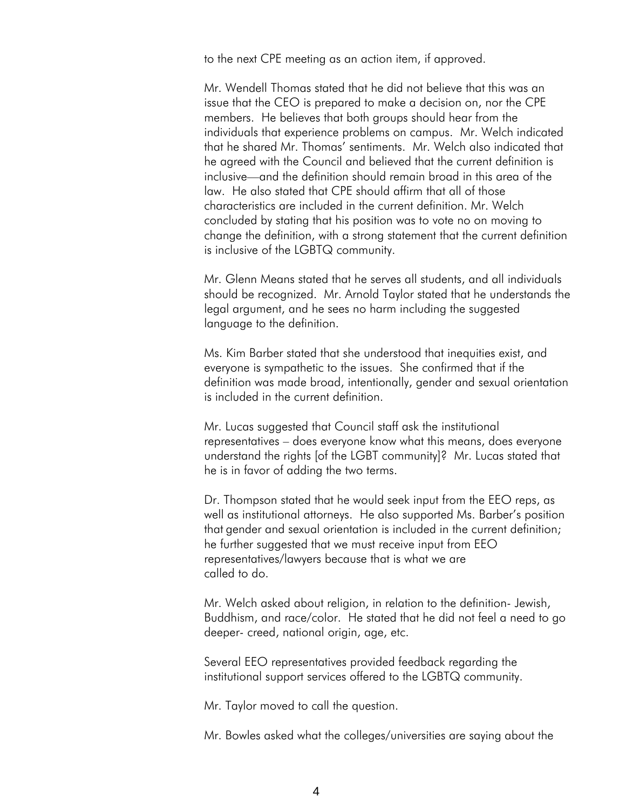to the next CPE meeting as an action item, if approved.

Mr. Wendell Thomas stated that he did not believe that this was an issue that the CEO is prepared to make a decision on, nor the CPE members. He believes that both groups should hear from the individuals that experience problems on campus. Mr. Welch indicated that he shared Mr. Thomas' sentiments. Mr. Welch also indicated that he agreed with the Council and believed that the current definition is inclusive—and the definition should remain broad in this area of the law. He also stated that CPE should affirm that all of those characteristics are included in the current definition. Mr. Welch concluded by stating that his position was to vote no on moving to change the definition, with a strong statement that the current definition is inclusive of the LGBTQ community.

Mr. Glenn Means stated that he serves all students, and all individuals should be recognized. Mr. Arnold Taylor stated that he understands the legal argument, and he sees no harm including the suggested language to the definition.

Ms. Kim Barber stated that she understood that inequities exist, and everyone is sympathetic to the issues. She confirmed that if the definition was made broad, intentionally, gender and sexual orientation is included in the current definition.

Mr. Lucas suggested that Council staff ask the institutional representatives – does everyone know what this means, does everyone understand the rights [of the LGBT community]? Mr. Lucas stated that he is in favor of adding the two terms.

Dr. Thompson stated that he would seek input from the EEO reps, as well as institutional attorneys. He also supported Ms. Barber's position that gender and sexual orientation is included in the current definition; he further suggested that we must receive input from EEO representatives/lawyers because that is what we are called to do.

Mr. Welch asked about religion, in relation to the definition- Jewish, Buddhism, and race/color. He stated that he did not feel a need to go deeper- creed, national origin, age, etc.

Several EEO representatives provided feedback regarding the institutional support services offered to the LGBTQ community.

Mr. Taylor moved to call the question.

Mr. Bowles asked what the colleges/universities are saying about the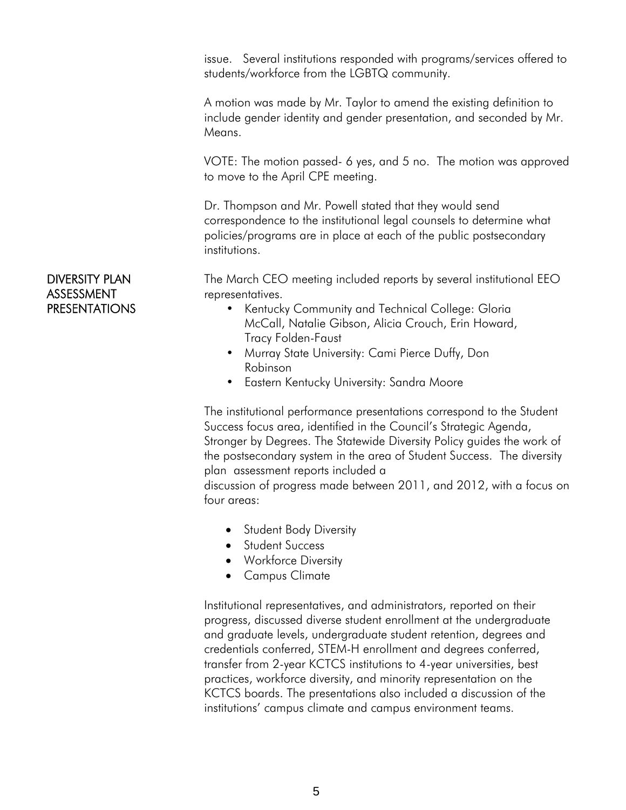issue. Several institutions responded with programs/services offered to students/workforce from the LGBTQ community.

A motion was made by Mr. Taylor to amend the existing definition to include gender identity and gender presentation, and seconded by Mr. Means.

VOTE: The motion passed- 6 yes, and 5 no. The motion was approved to move to the April CPE meeting.

Dr. Thompson and Mr. Powell stated that they would send correspondence to the institutional legal counsels to determine what policies/programs are in place at each of the public postsecondary institutions.

The March CEO meeting included reports by several institutional EEO representatives.

- Kentucky Community and Technical College: Gloria McCall, Natalie Gibson, Alicia Crouch, Erin Howard, Tracy Folden-Faust
- Murray State University: Cami Pierce Duffy, Don Robinson
- Eastern Kentucky University: Sandra Moore

The institutional performance presentations correspond to the Student Success focus area, identified in the Council's Strategic Agenda, Stronger by Degrees. The Statewide Diversity Policy guides the work of the postsecondary system in the area of Student Success. The diversity plan assessment reports included a

 discussion of progress made between 2011, and 2012, with a focus on four areas:

- Student Body Diversity
- **•** Student Success
- Workforce Diversity
- Campus Climate

Institutional representatives, and administrators, reported on their progress, discussed diverse student enrollment at the undergraduate and graduate levels, undergraduate student retention, degrees and credentials conferred, STEM-H enrollment and degrees conferred, transfer from 2-year KCTCS institutions to 4-year universities, best practices, workforce diversity, and minority representation on the KCTCS boards. The presentations also included a discussion of the institutions' campus climate and campus environment teams.

#### DIVERSITY PLAN ASSESSMENT PRESENTATIONS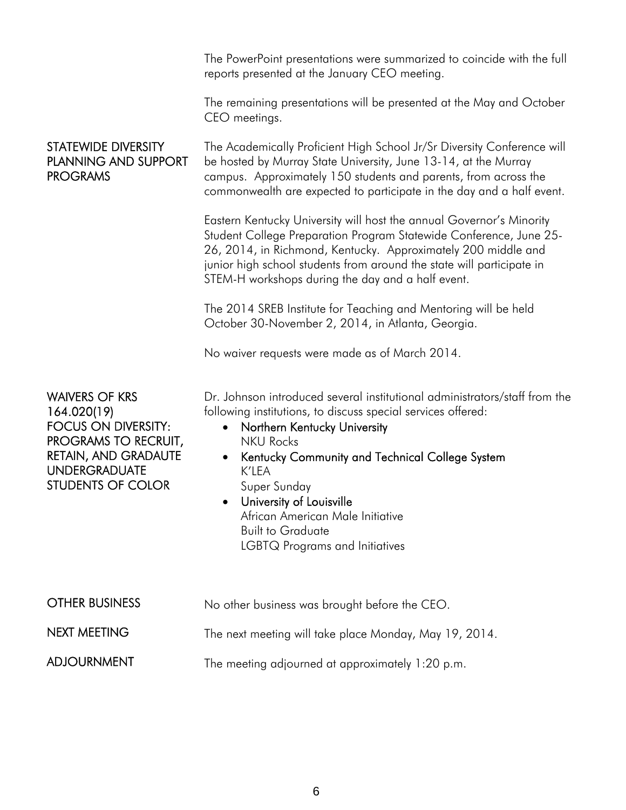|                                                                                                                                                                               | The PowerPoint presentations were summarized to coincide with the full<br>reports presented at the January CEO meeting.                                                                                                                                                                                                                                                                                                                   |  |  |  |
|-------------------------------------------------------------------------------------------------------------------------------------------------------------------------------|-------------------------------------------------------------------------------------------------------------------------------------------------------------------------------------------------------------------------------------------------------------------------------------------------------------------------------------------------------------------------------------------------------------------------------------------|--|--|--|
|                                                                                                                                                                               | The remaining presentations will be presented at the May and October<br>CEO meetings.                                                                                                                                                                                                                                                                                                                                                     |  |  |  |
| STATEWIDE DIVERSITY<br><b>PLANNING AND SUPPORT</b><br><b>PROGRAMS</b>                                                                                                         | The Academically Proficient High School Jr/Sr Diversity Conference will<br>be hosted by Murray State University, June 13-14, at the Murray<br>campus. Approximately 150 students and parents, from across the<br>commonwealth are expected to participate in the day and a half event.                                                                                                                                                    |  |  |  |
|                                                                                                                                                                               | Eastern Kentucky University will host the annual Governor's Minority<br>Student College Preparation Program Statewide Conference, June 25-<br>26, 2014, in Richmond, Kentucky. Approximately 200 middle and<br>junior high school students from around the state will participate in<br>STEM-H workshops during the day and a half event.                                                                                                 |  |  |  |
|                                                                                                                                                                               | The 2014 SREB Institute for Teaching and Mentoring will be held<br>October 30-November 2, 2014, in Atlanta, Georgia.                                                                                                                                                                                                                                                                                                                      |  |  |  |
|                                                                                                                                                                               | No waiver requests were made as of March 2014.                                                                                                                                                                                                                                                                                                                                                                                            |  |  |  |
| <b>WAIVERS OF KRS</b><br>164.020(19)<br><b>FOCUS ON DIVERSITY:</b><br>PROGRAMS TO RECRUIT,<br><b>RETAIN, AND GRADAUTE</b><br><b>UNDERGRADUATE</b><br><b>STUDENTS OF COLOR</b> | Dr. Johnson introduced several institutional administrators/staff from the<br>following institutions, to discuss special services offered:<br>Northern Kentucky University<br>$\bullet$<br><b>NKU Rocks</b><br>Kentucky Community and Technical College System<br>$\bullet$<br>K'LEA<br>Super Sunday<br>University of Louisville<br>African American Male Initiative<br><b>Built to Graduate</b><br><b>LGBTQ Programs and Initiatives</b> |  |  |  |
| <b>OTHER BUSINESS</b>                                                                                                                                                         | No other business was brought before the CEO.                                                                                                                                                                                                                                                                                                                                                                                             |  |  |  |
| <b>NEXT MEETING</b>                                                                                                                                                           | The next meeting will take place Monday, May 19, 2014.                                                                                                                                                                                                                                                                                                                                                                                    |  |  |  |
| <b>ADJOURNMENT</b>                                                                                                                                                            | The meeting adjourned at approximately 1:20 p.m.                                                                                                                                                                                                                                                                                                                                                                                          |  |  |  |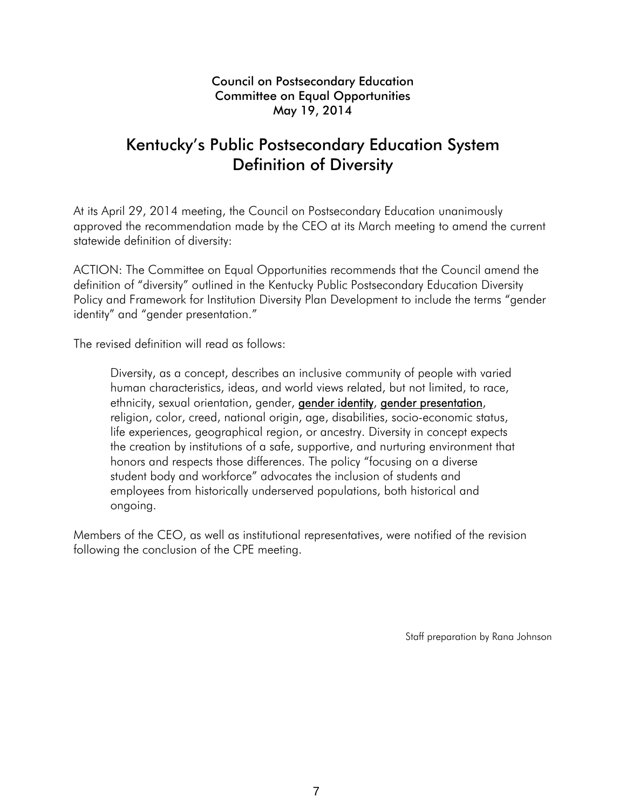# Kentucky's Public Postsecondary Education System Definition of Diversity

At its April 29, 2014 meeting, the Council on Postsecondary Education unanimously approved the recommendation made by the CEO at its March meeting to amend the current statewide definition of diversity:

ACTION: The Committee on Equal Opportunities recommends that the Council amend the definition of "diversity" outlined in the Kentucky Public Postsecondary Education Diversity Policy and Framework for Institution Diversity Plan Development to include the terms "gender identity" and "gender presentation."

The revised definition will read as follows:

Diversity, as a concept, describes an inclusive community of people with varied human characteristics, ideas, and world views related, but not limited, to race, ethnicity, sexual orientation, gender, **gender identity**, **gender presentation**, religion, color, creed, national origin, age, disabilities, socio-economic status, life experiences, geographical region, or ancestry. Diversity in concept expects the creation by institutions of a safe, supportive, and nurturing environment that honors and respects those differences. The policy "focusing on a diverse student body and workforce" advocates the inclusion of students and employees from historically underserved populations, both historical and ongoing.

Members of the CEO, as well as institutional representatives, were notified of the revision following the conclusion of the CPE meeting.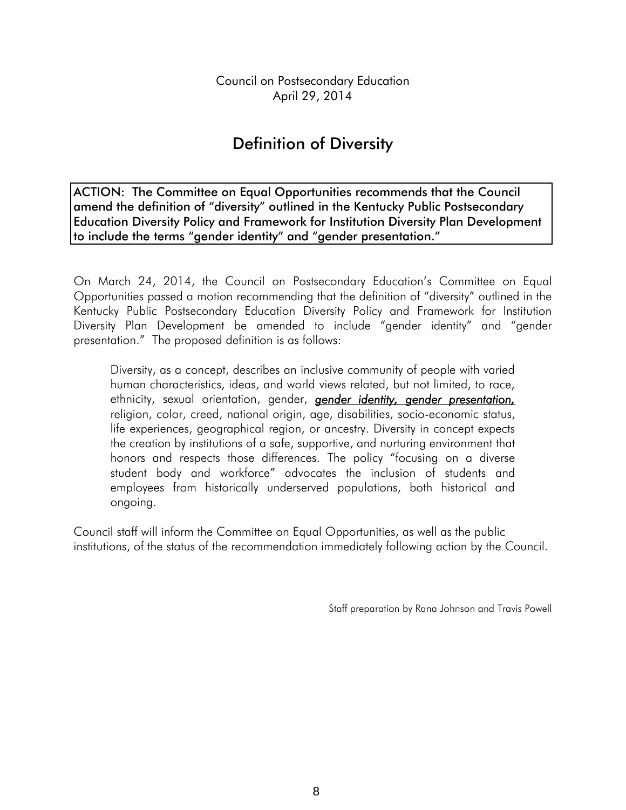Council on Postsecondary Education April 29, 2014

# Definition of Diversity

ACTION: The Committee on Equal Opportunities recommends that the Council amend the definition of "diversity" outlined in the Kentucky Public Postsecondary Education Diversity Policy and Framework for Institution Diversity Plan Development to include the terms "gender identity" and "gender presentation."

On March 24, 2014, the Council on Postsecondary Education's Committee on Equal Opportunities passed a motion recommending that the definition of "diversity" outlined in the Kentucky Public Postsecondary Education Diversity Policy and Framework for Institution Diversity Plan Development be amended to include "gender identity" and "gender presentation." The proposed definition is as follows:

Diversity, as a concept, describes an inclusive community of people with varied human characteristics, ideas, and world views related, but not limited, to race, ethnicity, sexual orientation, gender, *gender identity, gender presentation,* religion, color, creed, national origin, age, disabilities, socio-economic status, life experiences, geographical region, or ancestry. Diversity in concept expects the creation by institutions of a safe, supportive, and nurturing environment that honors and respects those differences. The policy "focusing on a diverse student body and workforce" advocates the inclusion of students and employees from historically underserved populations, both historical and ongoing.

Council staff will inform the Committee on Equal Opportunities, as well as the public institutions, of the status of the recommendation immediately following action by the Council.

Staff preparation by Rana Johnson and Travis Powell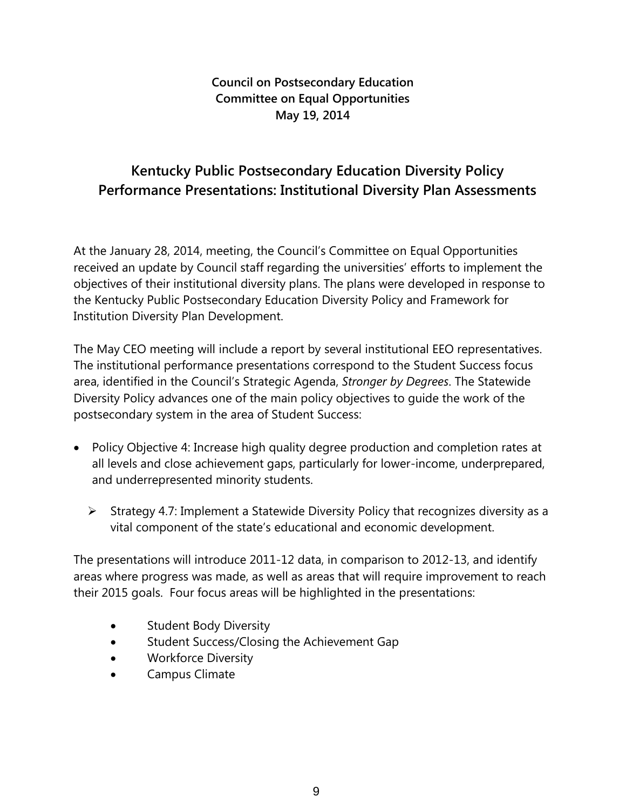# **Kentucky Public Postsecondary Education Diversity Policy Performance Presentations: Institutional Diversity Plan Assessments**

At the January 28, 2014, meeting, the Council's Committee on Equal Opportunities received an update by Council staff regarding the universities' efforts to implement the objectives of their institutional diversity plans. The plans were developed in response to the Kentucky Public Postsecondary Education Diversity Policy and Framework for Institution Diversity Plan Development.

The May CEO meeting will include a report by several institutional EEO representatives. The institutional performance presentations correspond to the Student Success focus area, identified in the Council's Strategic Agenda, *Stronger by Degrees*. The Statewide Diversity Policy advances one of the main policy objectives to guide the work of the postsecondary system in the area of Student Success:

- Policy Objective 4: Increase high quality degree production and completion rates at all levels and close achievement gaps, particularly for lower-income, underprepared, and underrepresented minority students.
	- $\triangleright$  Strategy 4.7: Implement a Statewide Diversity Policy that recognizes diversity as a vital component of the state's educational and economic development.

The presentations will introduce 2011-12 data, in comparison to 2012-13, and identify areas where progress was made, as well as areas that will require improvement to reach their 2015 goals. Four focus areas will be highlighted in the presentations:

- Student Body Diversity
- **Student Success/Closing the Achievement Gap**
- Workforce Diversity
- Campus Climate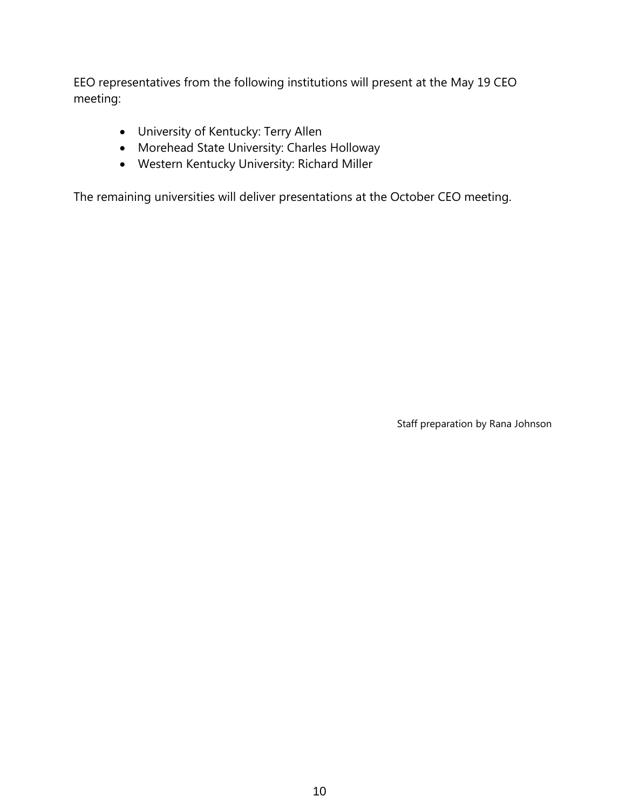EEO representatives from the following institutions will present at the May 19 CEO meeting:

- University of Kentucky: Terry Allen
- Morehead State University: Charles Holloway
- Western Kentucky University: Richard Miller

The remaining universities will deliver presentations at the October CEO meeting.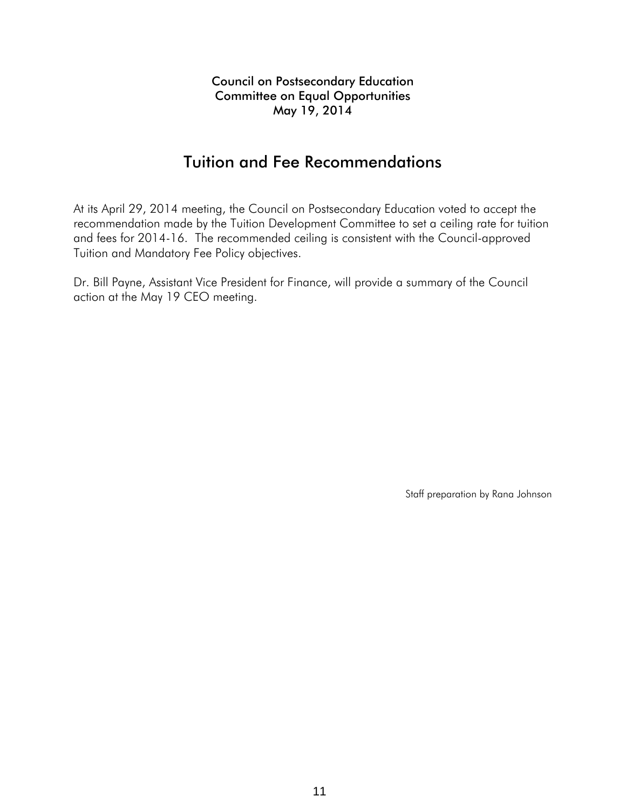## Tuition and Fee Recommendations

At its April 29, 2014 meeting, the Council on Postsecondary Education voted to accept the recommendation made by the Tuition Development Committee to set a ceiling rate for tuition and fees for 2014-16. The recommended ceiling is consistent with the Council-approved Tuition and Mandatory Fee Policy objectives.

Dr. Bill Payne, Assistant Vice President for Finance, will provide a summary of the Council action at the May 19 CEO meeting.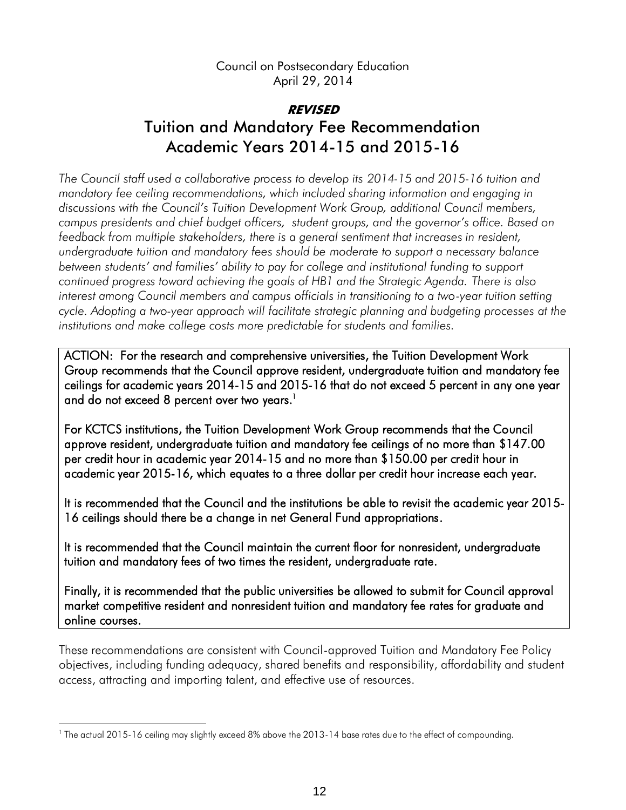Council on Postsecondary Education April 29, 2014

# **REVISED** Tuition and Mandatory Fee Recommendation Academic Years 2014-15 and 2015-16

*The Council staff used a collaborative process to develop its 2014-15 and 2015-16 tuition and mandatory fee ceiling recommendations, which included sharing information and engaging in discussions with the Council's Tuition Development Work Group, additional Council members, campus presidents and chief budget officers, student groups, and the governor's office. Based on feedback from multiple stakeholders, there is a general sentiment that increases in resident, undergraduate tuition and mandatory fees should be moderate to support a necessary balance between students' and families' ability to pay for college and institutional funding to support continued progress toward achieving the goals of HB1 and the Strategic Agenda. There is also interest among Council members and campus officials in transitioning to a two-year tuition setting cycle. Adopting a two-year approach will facilitate strategic planning and budgeting processes at the institutions and make college costs more predictable for students and families.*

ACTION: For the research and comprehensive universities, the Tuition Development Work Group recommends that the Council approve resident, undergraduate tuition and mandatory fee ceilings for academic years 2014-15 and 2015-16 that do not exceed 5 percent in any one year and do not exceed 8 percent over two years.<sup>1</sup>

For KCTCS institutions, the Tuition Development Work Group recommends that the Council approve resident, undergraduate tuition and mandatory fee ceilings of no more than \$147.00 per credit hour in academic year 2014-15 and no more than \$150.00 per credit hour in academic year 2015-16, which equates to a three dollar per credit hour increase each year.

It is recommended that the Council and the institutions be able to revisit the academic year 2015- 16 ceilings should there be a change in net General Fund appropriations.

It is recommended that the Council maintain the current floor for nonresident, undergraduate tuition and mandatory fees of two times the resident, undergraduate rate.

Finally, it is recommended that the public universities be allowed to submit for Council approval market competitive resident and nonresident tuition and mandatory fee rates for graduate and online courses.

These recommendations are consistent with Council-approved Tuition and Mandatory Fee Policy objectives, including funding adequacy, shared benefits and responsibility, affordability and student access, attracting and importing talent, and effective use of resources.

l

<sup>&</sup>lt;sup>1</sup> The actual 2015-16 ceiling may slightly exceed 8% above the 2013-14 base rates due to the effect of compounding.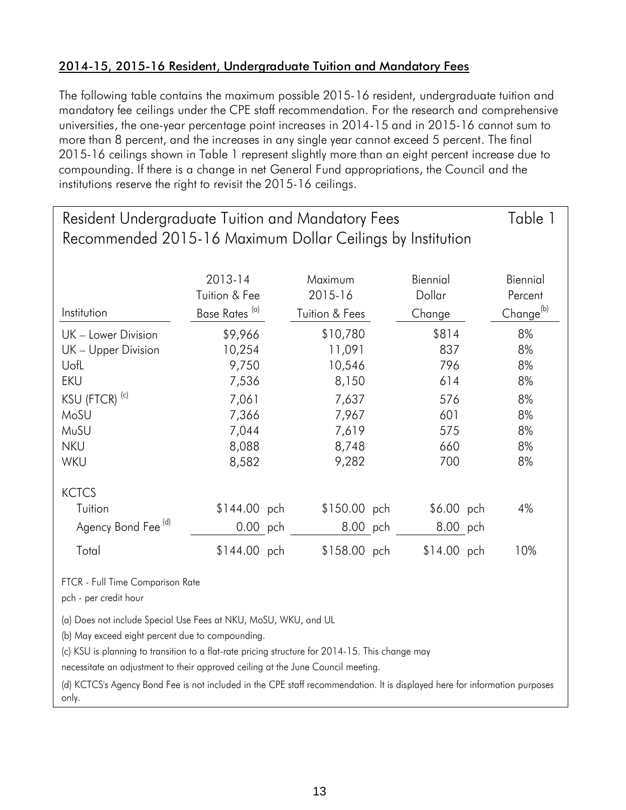#### 2014-15, 2015-16 Resident, Undergraduate Tuition and Mandatory Fees

The following table contains the maximum possible 2015-16 resident, undergraduate tuition and mandatory fee ceilings under the CPE staff recommendation. For the research and comprehensive universities, the one-year percentage point increases in 2014-15 and in 2015-16 cannot sum to more than 8 percent, and the increases in any single year cannot exceed 5 percent. The final 2015-16 ceilings shown in Table 1 represent slightly more than an eight percent increase due to compounding. If there is a change in net General Fund appropriations, the Council and the institutions reserve the right to revisit the 2015-16 ceilings.

| Resident Undergraduate Tuition and Mandatory Fees          |                           |                           |              |                       |  |  |
|------------------------------------------------------------|---------------------------|---------------------------|--------------|-----------------------|--|--|
| Recommended 2015-16 Maximum Dollar Ceilings by Institution |                           |                           |              |                       |  |  |
|                                                            |                           |                           |              |                       |  |  |
|                                                            | 2013-14                   | Maximum                   | Biennial     | Biennial              |  |  |
|                                                            | Tuition & Fee             | 2015-16                   | Dollar       | Percent               |  |  |
| Institution                                                | Base Rates <sup>(a)</sup> | <b>Tuition &amp; Fees</b> | Change       | Change <sup>(b)</sup> |  |  |
| UK - Lower Division                                        | \$9,966                   | \$10,780                  | \$814        | 8%                    |  |  |
| UK - Upper Division                                        | 10,254                    | 11,091                    | 837          | 8%                    |  |  |
| UofL                                                       | 9,750                     | 10,546                    | 796          | 8%                    |  |  |
| <b>EKU</b>                                                 | 7,536                     | 8,150                     | 614          | 8%                    |  |  |
| KSU (FTCR) <sup>(c)</sup>                                  | 7,061                     | 7,637                     | 576          | 8%                    |  |  |
| MoSU                                                       | 7,366                     | 7,967                     | 601          | 8%                    |  |  |
| MuSU                                                       | 7,044                     | 7,619                     | 575          | 8%                    |  |  |
| <b>NKU</b>                                                 | 8,088                     | 8,748                     | 660          | 8%                    |  |  |
| <b>WKU</b>                                                 | 8,582                     | 9,282                     | 700          | 8%                    |  |  |
| <b>KCTCS</b>                                               |                           |                           |              |                       |  |  |
| Tuition                                                    | \$144.00 pch              | \$150.00 pch              | \$6.00 pch   | 4%                    |  |  |
| Agency Bond Fee <sup>(d)</sup>                             | 0.00 pch                  | 8.00 pch                  | 8.00 pch     |                       |  |  |
| Total                                                      | $$144.00$ pch             | \$158.00 pch              | $$14.00$ pch | 10%                   |  |  |

FTCR - Full Time Comparison Rate

pch - per credit hour

(a) Does not include Special Use Fees at NKU, MoSU, WKU, and UL

(b) May exceed eight percent due to compounding.

(c) KSU is planning to transition to a flat-rate pricing structure for 2014-15. This change may

necessitate an adjustment to their approved ceiling at the June Council meeting.

(d) KCTCS's Agency Bond Fee is not included in the CPE staff recommendation. It is displayed here for information purposes only.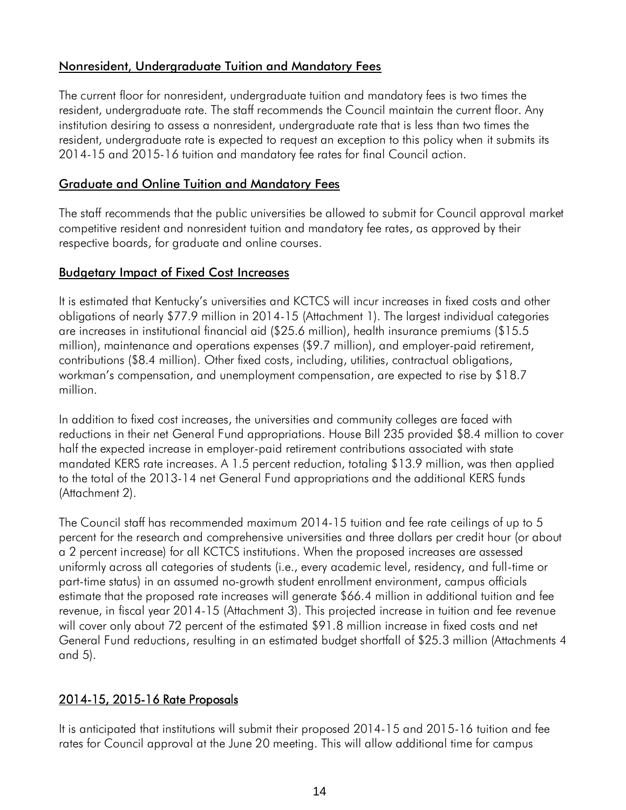#### Nonresident, Undergraduate Tuition and Mandatory Fees

The current floor for nonresident, undergraduate tuition and mandatory fees is two times the resident, undergraduate rate. The staff recommends the Council maintain the current floor. Any institution desiring to assess a nonresident, undergraduate rate that is less than two times the resident, undergraduate rate is expected to request an exception to this policy when it submits its 2014-15 and 2015-16 tuition and mandatory fee rates for final Council action.

#### Graduate and Online Tuition and Mandatory Fees

The staff recommends that the public universities be allowed to submit for Council approval market competitive resident and nonresident tuition and mandatory fee rates, as approved by their respective boards, for graduate and online courses.

#### Budgetary Impact of Fixed Cost Increases

It is estimated that Kentucky's universities and KCTCS will incur increases in fixed costs and other obligations of nearly \$77.9 million in 2014-15 (Attachment 1). The largest individual categories are increases in institutional financial aid (\$25.6 million), health insurance premiums (\$15.5 million), maintenance and operations expenses (\$9.7 million), and employer-paid retirement, contributions (\$8.4 million). Other fixed costs, including, utilities, contractual obligations, workman's compensation, and unemployment compensation, are expected to rise by \$18.7 million.

In addition to fixed cost increases, the universities and community colleges are faced with reductions in their net General Fund appropriations. House Bill 235 provided \$8.4 million to cover half the expected increase in employer-paid retirement contributions associated with state mandated KERS rate increases. A 1.5 percent reduction, totaling \$13.9 million, was then applied to the total of the 2013-14 net General Fund appropriations and the additional KERS funds (Attachment 2).

The Council staff has recommended maximum 2014-15 tuition and fee rate ceilings of up to 5 percent for the research and comprehensive universities and three dollars per credit hour (or about a 2 percent increase) for all KCTCS institutions. When the proposed increases are assessed uniformly across all categories of students (i.e., every academic level, residency, and full-time or part-time status) in an assumed no-growth student enrollment environment, campus officials estimate that the proposed rate increases will generate \$66.4 million in additional tuition and fee revenue, in fiscal year 2014-15 (Attachment 3). This projected increase in tuition and fee revenue will cover only about 72 percent of the estimated \$91.8 million increase in fixed costs and net General Fund reductions, resulting in an estimated budget shortfall of \$25.3 million (Attachments 4 and 5).

#### 2014-15, 2015-16 Rate Proposals

It is anticipated that institutions will submit their proposed 2014-15 and 2015-16 tuition and fee rates for Council approval at the June 20 meeting. This will allow additional time for campus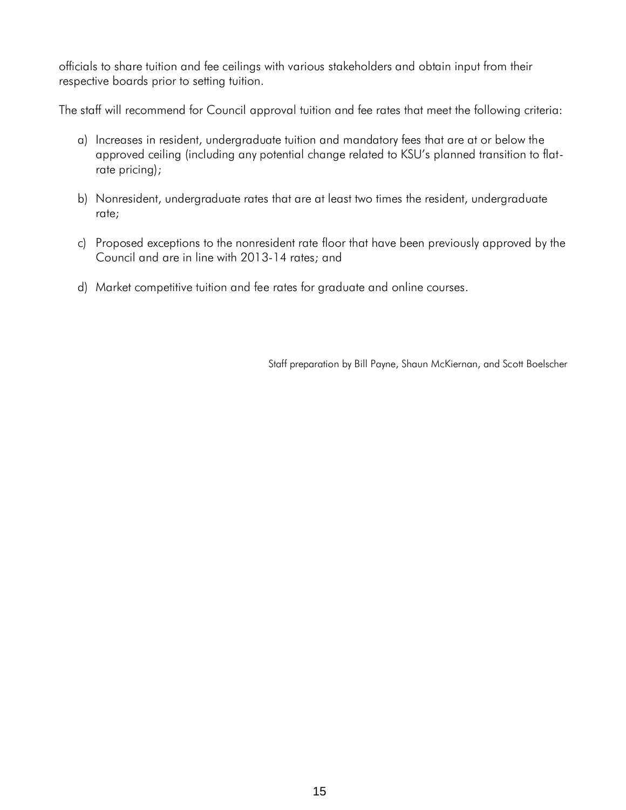officials to share tuition and fee ceilings with various stakeholders and obtain input from their respective boards prior to setting tuition.

The staff will recommend for Council approval tuition and fee rates that meet the following criteria:

- a) Increases in resident, undergraduate tuition and mandatory fees that are at or below the approved ceiling (including any potential change related to KSU's planned transition to flatrate pricing);
- b) Nonresident, undergraduate rates that are at least two times the resident, undergraduate rate;
- c) Proposed exceptions to the nonresident rate floor that have been previously approved by the Council and are in line with 2013-14 rates; and
- d) Market competitive tuition and fee rates for graduate and online courses.

Staff preparation by Bill Payne, Shaun McKiernan, and Scott Boelscher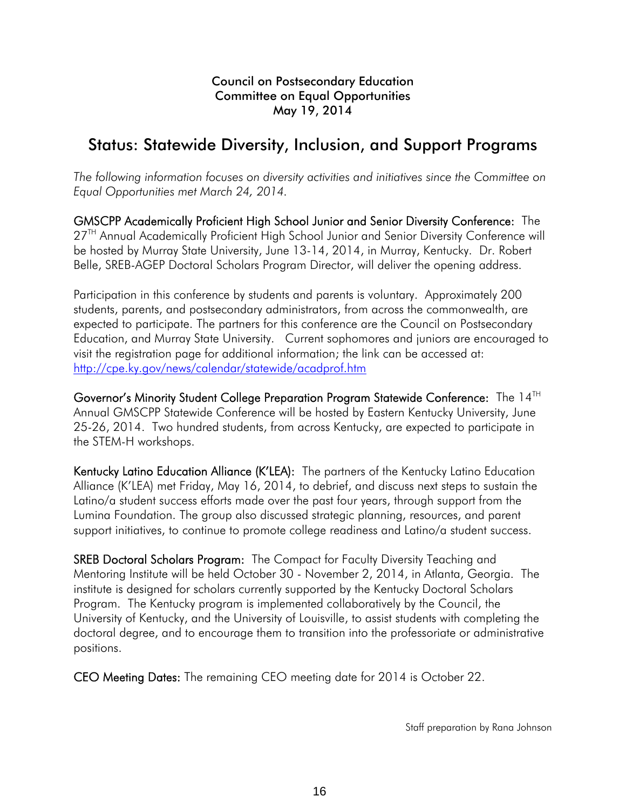# Status: Statewide Diversity, Inclusion, and Support Programs

*The following information focuses on diversity activities and initiatives since the Committee on Equal Opportunities met March 24, 2014.* 

GMSCPP Academically Proficient High School Junior and Senior Diversity Conference: The 27<sup>TH</sup> Annual Academically Proficient High School Junior and Senior Diversity Conference will be hosted by Murray State University, June 13-14, 2014, in Murray, Kentucky. Dr. Robert Belle, SREB-AGEP Doctoral Scholars Program Director, will deliver the opening address.

Participation in this conference by students and parents is voluntary. Approximately 200 students, parents, and postsecondary administrators, from across the commonwealth, are expected to participate. The partners for this conference are the Council on Postsecondary Education, and Murray State University. Current sophomores and juniors are encouraged to visit the registration page for additional information; the link can be accessed at: http://cpe.ky.gov/news/calendar/statewide/acadprof.htm

Governor's Minority Student College Preparation Program Statewide Conference: The 14TH Annual GMSCPP Statewide Conference will be hosted by Eastern Kentucky University, June 25-26, 2014. Two hundred students, from across Kentucky, are expected to participate in the STEM-H workshops.

Kentucky Latino Education Alliance (K'LEA): The partners of the Kentucky Latino Education Alliance (K'LEA) met Friday, May 16, 2014, to debrief, and discuss next steps to sustain the Latino/a student success efforts made over the past four years, through support from the Lumina Foundation. The group also discussed strategic planning, resources, and parent support initiatives, to continue to promote college readiness and Latino/a student success.

SREB Doctoral Scholars Program: The Compact for Faculty Diversity Teaching and Mentoring Institute will be held October 30 - November 2, 2014, in Atlanta, Georgia. The institute is designed for scholars currently supported by the Kentucky Doctoral Scholars Program. The Kentucky program is implemented collaboratively by the Council, the University of Kentucky, and the University of Louisville, to assist students with completing the doctoral degree, and to encourage them to transition into the professoriate or administrative positions.

CEO Meeting Dates: The remaining CEO meeting date for 2014 is October 22.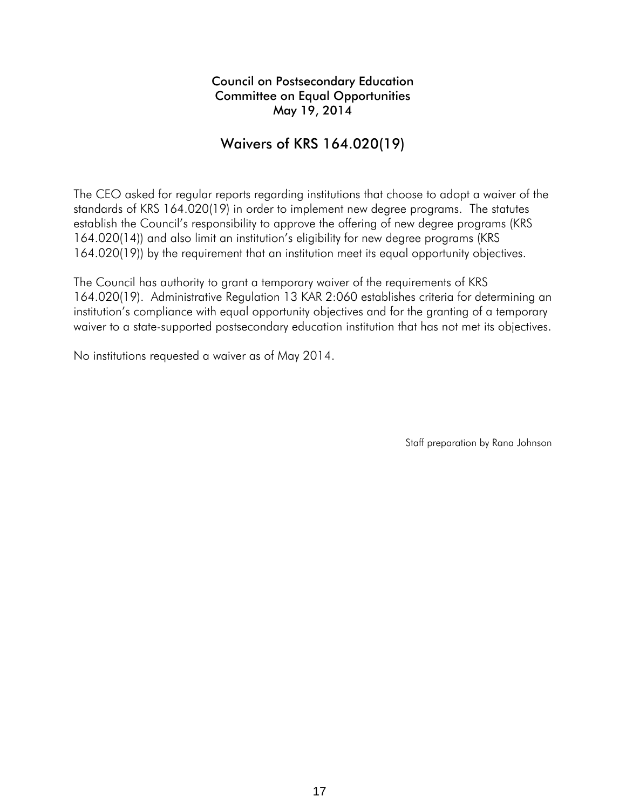#### Waivers of KRS 164.020(19)

The CEO asked for regular reports regarding institutions that choose to adopt a waiver of the standards of KRS 164.020(19) in order to implement new degree programs. The statutes establish the Council's responsibility to approve the offering of new degree programs (KRS 164.020(14)) and also limit an institution's eligibility for new degree programs (KRS 164.020(19)) by the requirement that an institution meet its equal opportunity objectives.

The Council has authority to grant a temporary waiver of the requirements of KRS 164.020(19). Administrative Regulation 13 KAR 2:060 establishes criteria for determining an institution's compliance with equal opportunity objectives and for the granting of a temporary waiver to a state-supported postsecondary education institution that has not met its objectives.

No institutions requested a waiver as of May 2014.